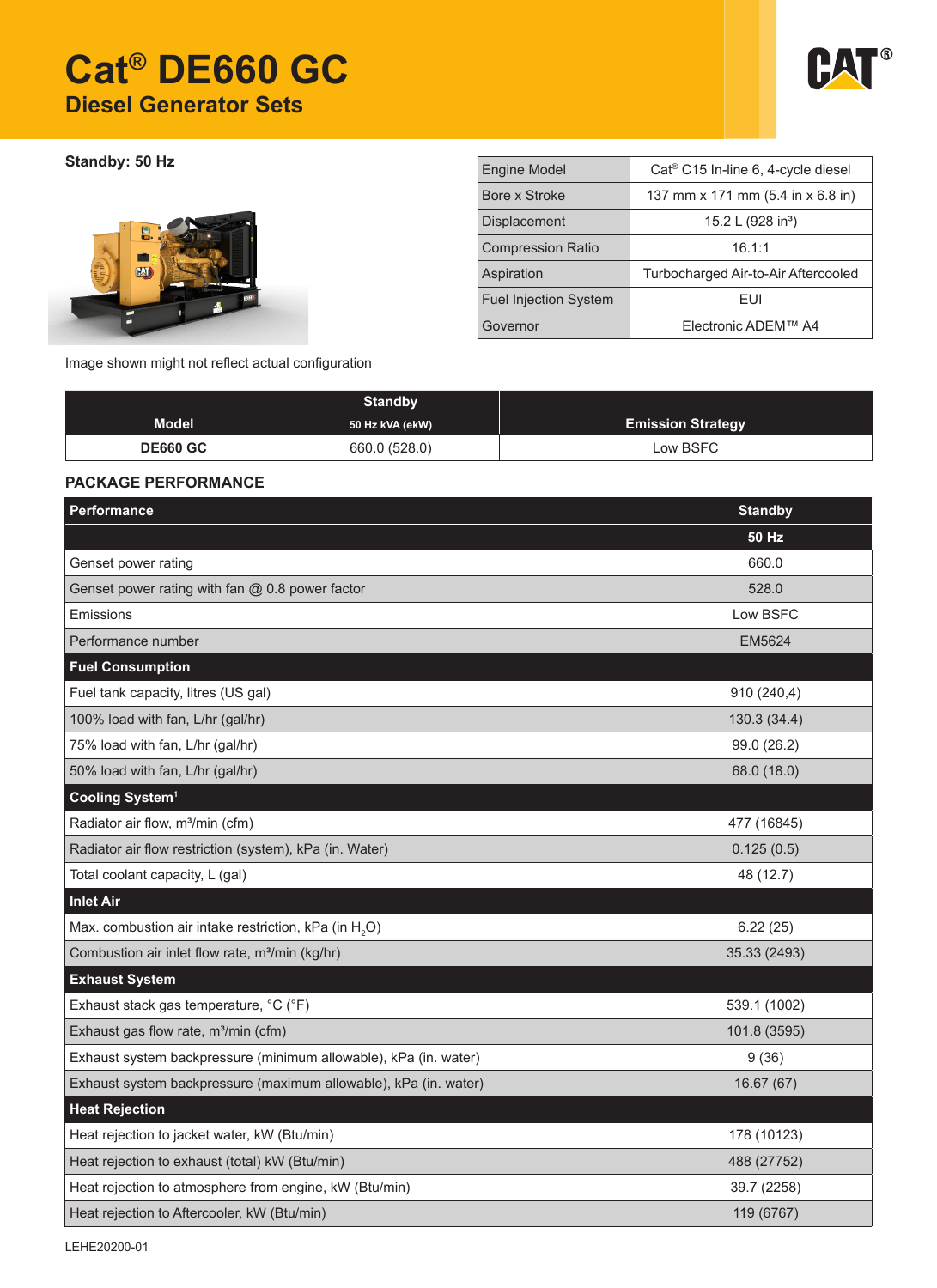# **Cat® DE660 GC Diesel Generator Sets**



**Standby: 50 Hz** 



| <b>Engine Model</b>          | Cat <sup>®</sup> C15 In-line 6, 4-cycle diesel |  |  |
|------------------------------|------------------------------------------------|--|--|
| Bore x Stroke                | 137 mm x 171 mm (5.4 in x 6.8 in)              |  |  |
| <b>Displacement</b>          | 15.2 L (928 in <sup>3</sup> )                  |  |  |
| <b>Compression Ratio</b>     | 16.1:1                                         |  |  |
| Aspiration                   | Turbocharged Air-to-Air Aftercooled            |  |  |
| <b>Fuel Injection System</b> | FUI                                            |  |  |
| Governor                     | Electronic ADEM™ A4                            |  |  |

Image shown might not reflect actual configuration

|                 | <b>Standby</b>  |                          |
|-----------------|-----------------|--------------------------|
| <b>Model</b>    | 50 Hz kVA (ekW) | <b>Emission Strategy</b> |
| <b>DE660 GC</b> | 660.0 (528.0)   | Low BSFC                 |

### **PACKAGE PERFORMANCE**

| Performance                                                       | <b>Standby</b> |
|-------------------------------------------------------------------|----------------|
|                                                                   | <b>50 Hz</b>   |
| Genset power rating                                               | 660.0          |
| Genset power rating with fan @ 0.8 power factor                   | 528.0          |
| Emissions                                                         | Low BSFC       |
| Performance number                                                | <b>EM5624</b>  |
| <b>Fuel Consumption</b>                                           |                |
| Fuel tank capacity, litres (US gal)                               | 910 (240,4)    |
| 100% load with fan, L/hr (gal/hr)                                 | 130.3(34.4)    |
| 75% load with fan, L/hr (gal/hr)                                  | 99.0 (26.2)    |
| 50% load with fan, L/hr (gal/hr)                                  | 68.0 (18.0)    |
| Cooling System <sup>1</sup>                                       |                |
| Radiator air flow, m <sup>3</sup> /min (cfm)                      | 477 (16845)    |
| Radiator air flow restriction (system), kPa (in. Water)           | 0.125(0.5)     |
| Total coolant capacity, L (gal)                                   | 48 (12.7)      |
| <b>Inlet Air</b>                                                  |                |
| Max. combustion air intake restriction, kPa (in H <sub>2</sub> O) | 6.22(25)       |
| Combustion air inlet flow rate, m <sup>3</sup> /min (kg/hr)       | 35.33 (2493)   |
| <b>Exhaust System</b>                                             |                |
| Exhaust stack gas temperature, °C (°F)                            | 539.1 (1002)   |
| Exhaust gas flow rate, m <sup>3</sup> /min (cfm)                  | 101.8 (3595)   |
| Exhaust system backpressure (minimum allowable), kPa (in. water)  | 9(36)          |
| Exhaust system backpressure (maximum allowable), kPa (in. water)  | 16.67(67)      |
| <b>Heat Rejection</b>                                             |                |
| Heat rejection to jacket water, kW (Btu/min)                      | 178 (10123)    |
| Heat rejection to exhaust (total) kW (Btu/min)                    | 488 (27752)    |
| Heat rejection to atmosphere from engine, kW (Btu/min)            | 39.7 (2258)    |
| Heat rejection to Aftercooler, kW (Btu/min)                       | 119 (6767)     |